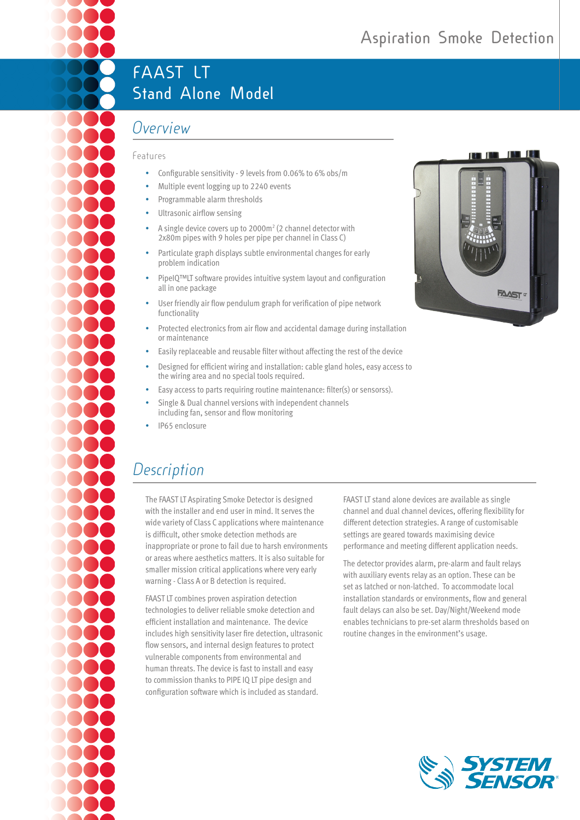# **FAAST LT Stand Alone Model**

# *Overview*

#### Features

- Configurable sensitivity 9 levels from 0.06% to 6% obs/m
- Multiple event logging up to 2240 events
- Programmable alarm thresholds
- Ultrasonic airflow sensing
- A single device covers up to 2000m<sup>2</sup> (2 channel detector with 2x80m pipes with 9 holes per pipe per channel in Class C)
- Particulate graph displays subtle environmental changes for early problem indication
- PipeIQ™LT software provides intuitive system layout and configuration all in one package
- User friendly air flow pendulum graph for verification of pipe network functionality
- Protected electronics from air flow and accidental damage during installation or maintenance
- Easily replaceable and reusable filter without affecting the rest of the device
- Designed for efficient wiring and installation: cable gland holes, easy access to the wiring area and no special tools required.
- Easy access to parts requiring routine maintenance: filter(s) or sensorss).
- Single & Dual channel versions with independent channels including fan, sensor and flow monitoring
- IP65 enclosure

# *Description*

The FAAST LT Aspirating Smoke Detector is designed with the installer and end user in mind. It serves the wide variety of Class C applications where maintenance is difficult, other smoke detection methods are inappropriate or prone to fail due to harsh environments or areas where aesthetics matters. It is also suitable for smaller mission critical applications where very early warning - Class A or B detection is required.

FAAST LT combines proven aspiration detection technologies to deliver reliable smoke detection and efficient installation and maintenance. The device includes high sensitivity laser fire detection, ultrasonic flow sensors, and internal design features to protect vulnerable components from environmental and human threats. The device is fast to install and easy to commission thanks to PIPE IQ LT pipe design and configuration software which is included as standard.

FAAST LT stand alone devices are available as single channel and dual channel devices, offering flexibility for different detection strategies. A range of customisable settings are geared towards maximising device performance and meeting different application needs.

The detector provides alarm, pre-alarm and fault relays with auxiliary events relay as an option. These can be set as latched or non-latched. To accommodate local installation standards or environments, flow and general fault delays can also be set. Day/Night/Weekend mode enables technicians to pre-set alarm thresholds based on routine changes in the environment's usage.